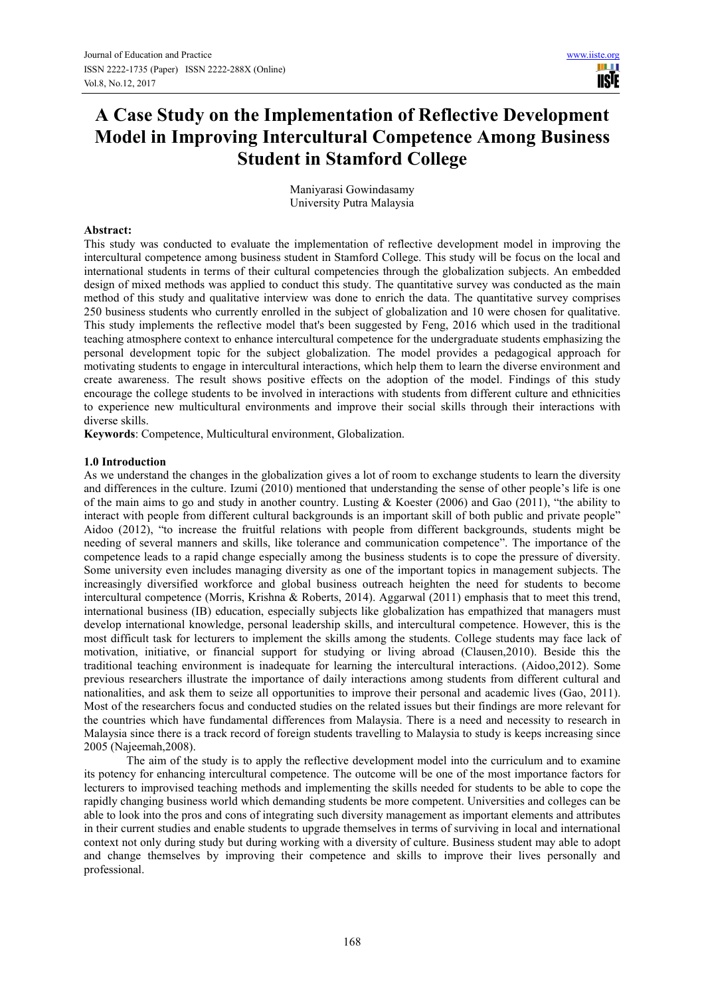# **A Case Study on the Implementation of Reflective Development Model in Improving Intercultural Competence Among Business Student in Stamford College**

Maniyarasi Gowindasamy University Putra Malaysia

# **Abstract:**

This study was conducted to evaluate the implementation of reflective development model in improving the intercultural competence among business student in Stamford College. This study will be focus on the local and international students in terms of their cultural competencies through the globalization subjects. An embedded design of mixed methods was applied to conduct this study. The quantitative survey was conducted as the main method of this study and qualitative interview was done to enrich the data. The quantitative survey comprises 250 business students who currently enrolled in the subject of globalization and 10 were chosen for qualitative. This study implements the reflective model that's been suggested by Feng, 2016 which used in the traditional teaching atmosphere context to enhance intercultural competence for the undergraduate students emphasizing the personal development topic for the subject globalization. The model provides a pedagogical approach for motivating students to engage in intercultural interactions, which help them to learn the diverse environment and create awareness. The result shows positive effects on the adoption of the model. Findings of this study encourage the college students to be involved in interactions with students from different culture and ethnicities to experience new multicultural environments and improve their social skills through their interactions with diverse skills.

**Keywords**: Competence, Multicultural environment, Globalization.

# **1.0 Introduction**

As we understand the changes in the globalization gives a lot of room to exchange students to learn the diversity and differences in the culture. Izumi (2010) mentioned that understanding the sense of other people's life is one of the main aims to go and study in another country. Lusting & Koester (2006) and Gao (2011), "the ability to interact with people from different cultural backgrounds is an important skill of both public and private people" Aidoo (2012), "to increase the fruitful relations with people from different backgrounds, students might be needing of several manners and skills, like tolerance and communication competence". The importance of the competence leads to a rapid change especially among the business students is to cope the pressure of diversity. Some university even includes managing diversity as one of the important topics in management subjects. The increasingly diversified workforce and global business outreach heighten the need for students to become intercultural competence (Morris, Krishna & Roberts, 2014). Aggarwal (2011) emphasis that to meet this trend, international business (IB) education, especially subjects like globalization has empathized that managers must develop international knowledge, personal leadership skills, and intercultural competence. However, this is the most difficult task for lecturers to implement the skills among the students. College students may face lack of motivation, initiative, or financial support for studying or living abroad (Clausen,2010). Beside this the traditional teaching environment is inadequate for learning the intercultural interactions. (Aidoo,2012). Some previous researchers illustrate the importance of daily interactions among students from different cultural and nationalities, and ask them to seize all opportunities to improve their personal and academic lives (Gao, 2011). Most of the researchers focus and conducted studies on the related issues but their findings are more relevant for the countries which have fundamental differences from Malaysia. There is a need and necessity to research in Malaysia since there is a track record of foreign students travelling to Malaysia to study is keeps increasing since 2005 (Najeemah,2008).

The aim of the study is to apply the reflective development model into the curriculum and to examine its potency for enhancing intercultural competence. The outcome will be one of the most importance factors for lecturers to improvised teaching methods and implementing the skills needed for students to be able to cope the rapidly changing business world which demanding students be more competent. Universities and colleges can be able to look into the pros and cons of integrating such diversity management as important elements and attributes in their current studies and enable students to upgrade themselves in terms of surviving in local and international context not only during study but during working with a diversity of culture. Business student may able to adopt and change themselves by improving their competence and skills to improve their lives personally and professional.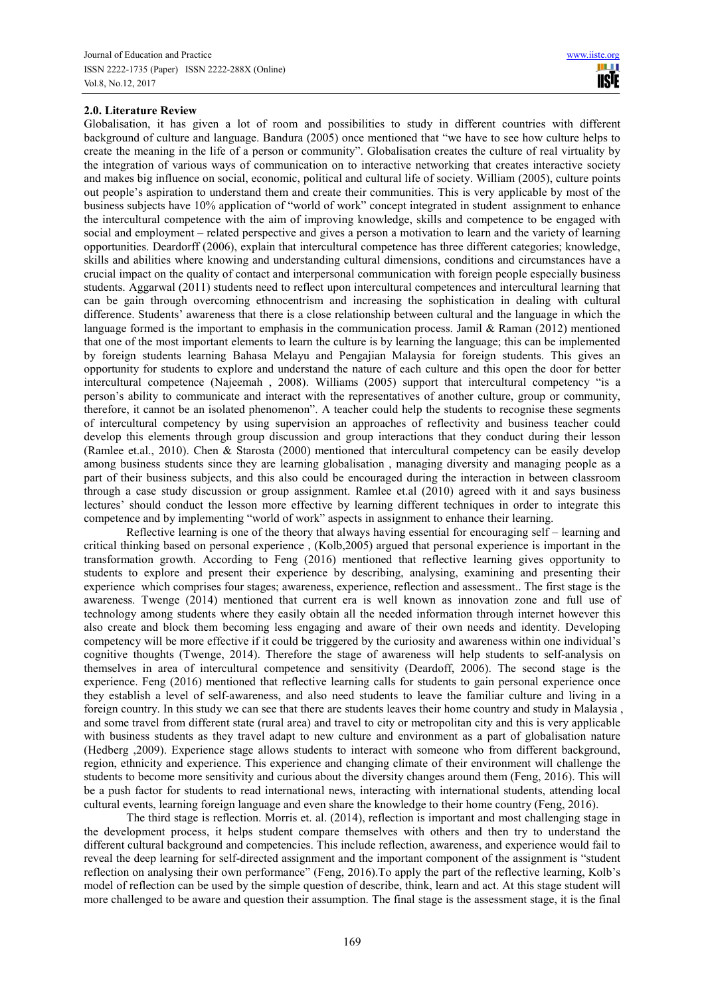# **2.0. Literature Review**

Globalisation, it has given a lot of room and possibilities to study in different countries with different background of culture and language. Bandura (2005) once mentioned that "we have to see how culture helps to create the meaning in the life of a person or community". Globalisation creates the culture of real virtuality by the integration of various ways of communication on to interactive networking that creates interactive society and makes big influence on social, economic, political and cultural life of society. William (2005), culture points out people's aspiration to understand them and create their communities. This is very applicable by most of the business subjects have 10% application of "world of work" concept integrated in student assignment to enhance the intercultural competence with the aim of improving knowledge, skills and competence to be engaged with social and employment – related perspective and gives a person a motivation to learn and the variety of learning opportunities. Deardorff (2006), explain that intercultural competence has three different categories; knowledge, skills and abilities where knowing and understanding cultural dimensions, conditions and circumstances have a crucial impact on the quality of contact and interpersonal communication with foreign people especially business students. Aggarwal (2011) students need to reflect upon intercultural competences and intercultural learning that can be gain through overcoming ethnocentrism and increasing the sophistication in dealing with cultural difference. Students' awareness that there is a close relationship between cultural and the language in which the language formed is the important to emphasis in the communication process. Jamil & Raman (2012) mentioned that one of the most important elements to learn the culture is by learning the language; this can be implemented by foreign students learning Bahasa Melayu and Pengajian Malaysia for foreign students. This gives an opportunity for students to explore and understand the nature of each culture and this open the door for better intercultural competence (Najeemah , 2008). Williams (2005) support that intercultural competency "is a person's ability to communicate and interact with the representatives of another culture, group or community, therefore, it cannot be an isolated phenomenon". A teacher could help the students to recognise these segments of intercultural competency by using supervision an approaches of reflectivity and business teacher could develop this elements through group discussion and group interactions that they conduct during their lesson (Ramlee et.al., 2010). Chen & Starosta (2000) mentioned that intercultural competency can be easily develop among business students since they are learning globalisation , managing diversity and managing people as a part of their business subjects, and this also could be encouraged during the interaction in between classroom through a case study discussion or group assignment. Ramlee et.al (2010) agreed with it and says business lectures' should conduct the lesson more effective by learning different techniques in order to integrate this competence and by implementing "world of work" aspects in assignment to enhance their learning.

Reflective learning is one of the theory that always having essential for encouraging self – learning and critical thinking based on personal experience , (Kolb,2005) argued that personal experience is important in the transformation growth. According to Feng (2016) mentioned that reflective learning gives opportunity to students to explore and present their experience by describing, analysing, examining and presenting their experience which comprises four stages; awareness, experience, reflection and assessment.. The first stage is the awareness. Twenge (2014) mentioned that current era is well known as innovation zone and full use of technology among students where they easily obtain all the needed information through internet however this also create and block them becoming less engaging and aware of their own needs and identity. Developing competency will be more effective if it could be triggered by the curiosity and awareness within one individual's cognitive thoughts (Twenge, 2014). Therefore the stage of awareness will help students to self-analysis on themselves in area of intercultural competence and sensitivity (Deardoff, 2006). The second stage is the experience. Feng (2016) mentioned that reflective learning calls for students to gain personal experience once they establish a level of self-awareness, and also need students to leave the familiar culture and living in a foreign country. In this study we can see that there are students leaves their home country and study in Malaysia , and some travel from different state (rural area) and travel to city or metropolitan city and this is very applicable with business students as they travel adapt to new culture and environment as a part of globalisation nature (Hedberg ,2009). Experience stage allows students to interact with someone who from different background, region, ethnicity and experience. This experience and changing climate of their environment will challenge the students to become more sensitivity and curious about the diversity changes around them (Feng, 2016). This will be a push factor for students to read international news, interacting with international students, attending local cultural events, learning foreign language and even share the knowledge to their home country (Feng, 2016).

The third stage is reflection. Morris et. al. (2014), reflection is important and most challenging stage in the development process, it helps student compare themselves with others and then try to understand the different cultural background and competencies. This include reflection, awareness, and experience would fail to reveal the deep learning for self-directed assignment and the important component of the assignment is "student reflection on analysing their own performance" (Feng, 2016).To apply the part of the reflective learning, Kolb's model of reflection can be used by the simple question of describe, think, learn and act. At this stage student will more challenged to be aware and question their assumption. The final stage is the assessment stage, it is the final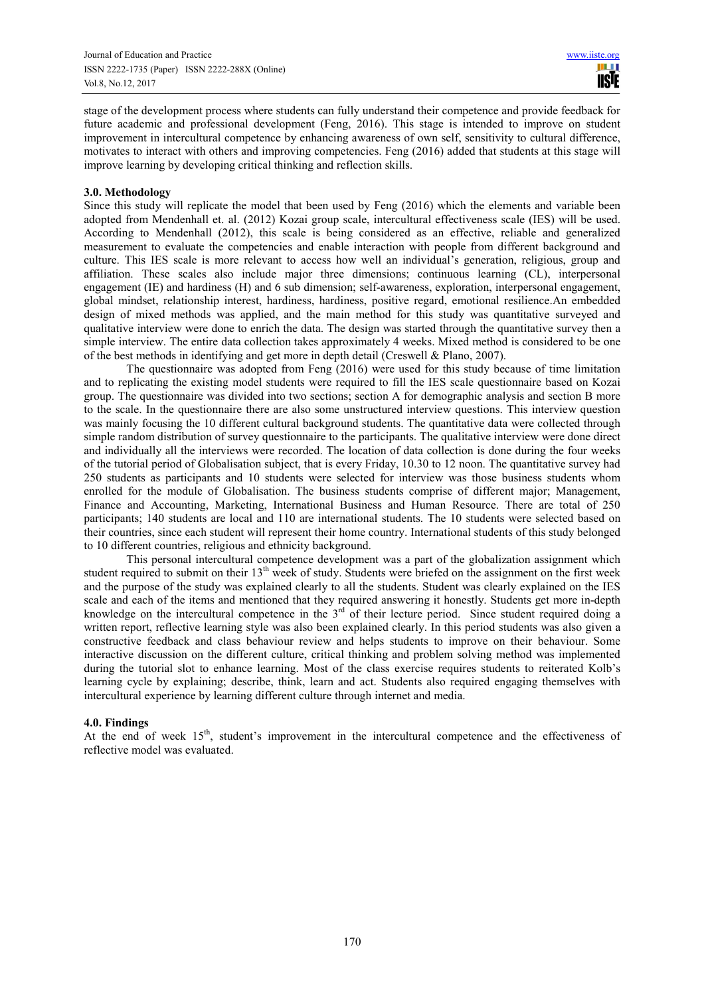stage of the development process where students can fully understand their competence and provide feedback for future academic and professional development (Feng, 2016). This stage is intended to improve on student improvement in intercultural competence by enhancing awareness of own self, sensitivity to cultural difference, motivates to interact with others and improving competencies. Feng (2016) added that students at this stage will improve learning by developing critical thinking and reflection skills.

# **3.0. Methodology**

Since this study will replicate the model that been used by Feng (2016) which the elements and variable been adopted from Mendenhall et. al. (2012) Kozai group scale, intercultural effectiveness scale (IES) will be used. According to Mendenhall (2012), this scale is being considered as an effective, reliable and generalized measurement to evaluate the competencies and enable interaction with people from different background and culture. This IES scale is more relevant to access how well an individual's generation, religious, group and affiliation. These scales also include major three dimensions; continuous learning (CL), interpersonal engagement (IE) and hardiness (H) and 6 sub dimension; self-awareness, exploration, interpersonal engagement, global mindset, relationship interest, hardiness, hardiness, positive regard, emotional resilience.An embedded design of mixed methods was applied, and the main method for this study was quantitative surveyed and qualitative interview were done to enrich the data. The design was started through the quantitative survey then a simple interview. The entire data collection takes approximately 4 weeks. Mixed method is considered to be one of the best methods in identifying and get more in depth detail (Creswell & Plano, 2007).

The questionnaire was adopted from Feng (2016) were used for this study because of time limitation and to replicating the existing model students were required to fill the IES scale questionnaire based on Kozai group. The questionnaire was divided into two sections; section A for demographic analysis and section B more to the scale. In the questionnaire there are also some unstructured interview questions. This interview question was mainly focusing the 10 different cultural background students. The quantitative data were collected through simple random distribution of survey questionnaire to the participants. The qualitative interview were done direct and individually all the interviews were recorded. The location of data collection is done during the four weeks of the tutorial period of Globalisation subject, that is every Friday, 10.30 to 12 noon. The quantitative survey had 250 students as participants and 10 students were selected for interview was those business students whom enrolled for the module of Globalisation. The business students comprise of different major; Management, Finance and Accounting, Marketing, International Business and Human Resource. There are total of 250 participants; 140 students are local and 110 are international students. The 10 students were selected based on their countries, since each student will represent their home country. International students of this study belonged to 10 different countries, religious and ethnicity background.

This personal intercultural competence development was a part of the globalization assignment which student required to submit on their 13<sup>th</sup> week of study. Students were briefed on the assignment on the first week and the purpose of the study was explained clearly to all the students. Student was clearly explained on the IES scale and each of the items and mentioned that they required answering it honestly. Students get more in-depth knowledge on the intercultural competence in the  $3<sup>rd</sup>$  of their lecture period. Since student required doing a written report, reflective learning style was also been explained clearly. In this period students was also given a constructive feedback and class behaviour review and helps students to improve on their behaviour. Some interactive discussion on the different culture, critical thinking and problem solving method was implemented during the tutorial slot to enhance learning. Most of the class exercise requires students to reiterated Kolb's learning cycle by explaining; describe, think, learn and act. Students also required engaging themselves with intercultural experience by learning different culture through internet and media.

# **4.0. Findings**

At the end of week 15<sup>th</sup>, student's improvement in the intercultural competence and the effectiveness of reflective model was evaluated.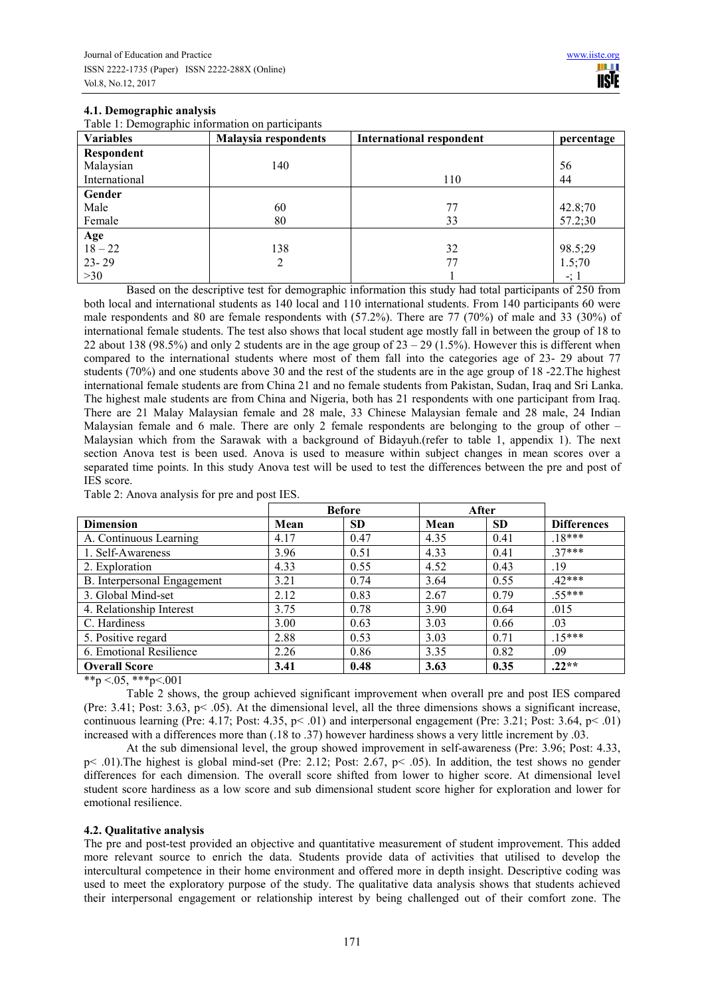# **4.1. Demographic analysis**

Table 1: Demographic information on participants

| <b>Variables</b> | <b>Malaysia respondents</b> | <b>International respondent</b> | percentage |
|------------------|-----------------------------|---------------------------------|------------|
| Respondent       |                             |                                 |            |
| Malaysian        | 140                         |                                 | 56         |
| International    |                             | 110                             | 44         |
| Gender           |                             |                                 |            |
| Male             | 60                          | 77                              | 42.8;70    |
| Female           | 80                          | 33                              | 57.2;30    |
| Age<br>$18-22$   |                             |                                 |            |
|                  | 138                         | 32                              | 98.5;29    |
| $23 - 29$        | $\mathfrak{D}$              | 77                              | 1.5;70     |
| $>30$            |                             |                                 | $\div$ 1   |

Based on the descriptive test for demographic information this study had total participants of 250 from both local and international students as 140 local and 110 international students. From 140 participants 60 were male respondents and 80 are female respondents with (57.2%). There are 77 (70%) of male and 33 (30%) of international female students. The test also shows that local student age mostly fall in between the group of 18 to 22 about 138 (98.5%) and only 2 students are in the age group of  $23 - 29$  (1.5%). However this is different when compared to the international students where most of them fall into the categories age of 23- 29 about 77 students (70%) and one students above 30 and the rest of the students are in the age group of 18 -22.The highest international female students are from China 21 and no female students from Pakistan, Sudan, Iraq and Sri Lanka. The highest male students are from China and Nigeria, both has 21 respondents with one participant from Iraq. There are 21 Malay Malaysian female and 28 male, 33 Chinese Malaysian female and 28 male, 24 Indian Malaysian female and 6 male. There are only 2 female respondents are belonging to the group of other – Malaysian which from the Sarawak with a background of Bidayuh.(refer to table 1, appendix 1). The next section Anova test is been used. Anova is used to measure within subject changes in mean scores over a separated time points. In this study Anova test will be used to test the differences between the pre and post of IES score.

Table 2: Anova analysis for pre and post IES.

|                                    | <b>Before</b> |           | After |           |                    |
|------------------------------------|---------------|-----------|-------|-----------|--------------------|
| <b>Dimension</b>                   | Mean          | <b>SD</b> | Mean  | <b>SD</b> | <b>Differences</b> |
| A. Continuous Learning             | 4.17          | 0.47      | 4.35  | 0.41      | $.18***$           |
| 1. Self-Awareness                  | 3.96          | 0.51      | 4.33  | 0.41      | $37***$            |
| 2. Exploration                     | 4.33          | 0.55      | 4.52  | 0.43      | .19                |
| <b>B.</b> Interpersonal Engagement | 3.21          | 0.74      | 3.64  | 0.55      | $42***$            |
| 3. Global Mind-set                 | 2.12          | 0.83      | 2.67  | 0.79      | $.55***$           |
| 4. Relationship Interest           | 3.75          | 0.78      | 3.90  | 0.64      | .015               |
| C. Hardiness                       | 3.00          | 0.63      | 3.03  | 0.66      | .03                |
| 5. Positive regard                 | 2.88          | 0.53      | 3.03  | 0.71      | $15***$            |
| 6. Emotional Resilience            | 2.26          | 0.86      | 3.35  | 0.82      | .09                |
| <b>Overall Score</b>               | 3.41          | 0.48      | 3.63  | 0.35      | $.22**$            |

\*\*p  $\leq 0.05$ , \*\*\*p $\leq 0.001$ 

Table 2 shows, the group achieved significant improvement when overall pre and post IES compared (Pre:  $3.41$ ; Post:  $3.63$ ,  $p \le 0.05$ ). At the dimensional level, all the three dimensions shows a significant increase, continuous learning (Pre: 4.17; Post: 4.35, p< .01) and interpersonal engagement (Pre: 3.21; Post: 3.64, p< .01) increased with a differences more than (.18 to .37) however hardiness shows a very little increment by .03.

At the sub dimensional level, the group showed improvement in self-awareness (Pre: 3.96; Post: 4.33, p< .01).The highest is global mind-set (Pre: 2.12; Post: 2.67, p< .05). In addition, the test shows no gender differences for each dimension. The overall score shifted from lower to higher score. At dimensional level student score hardiness as a low score and sub dimensional student score higher for exploration and lower for emotional resilience.

#### **4.2. Qualitative analysis**

The pre and post-test provided an objective and quantitative measurement of student improvement. This added more relevant source to enrich the data. Students provide data of activities that utilised to develop the intercultural competence in their home environment and offered more in depth insight. Descriptive coding was used to meet the exploratory purpose of the study. The qualitative data analysis shows that students achieved their interpersonal engagement or relationship interest by being challenged out of their comfort zone. The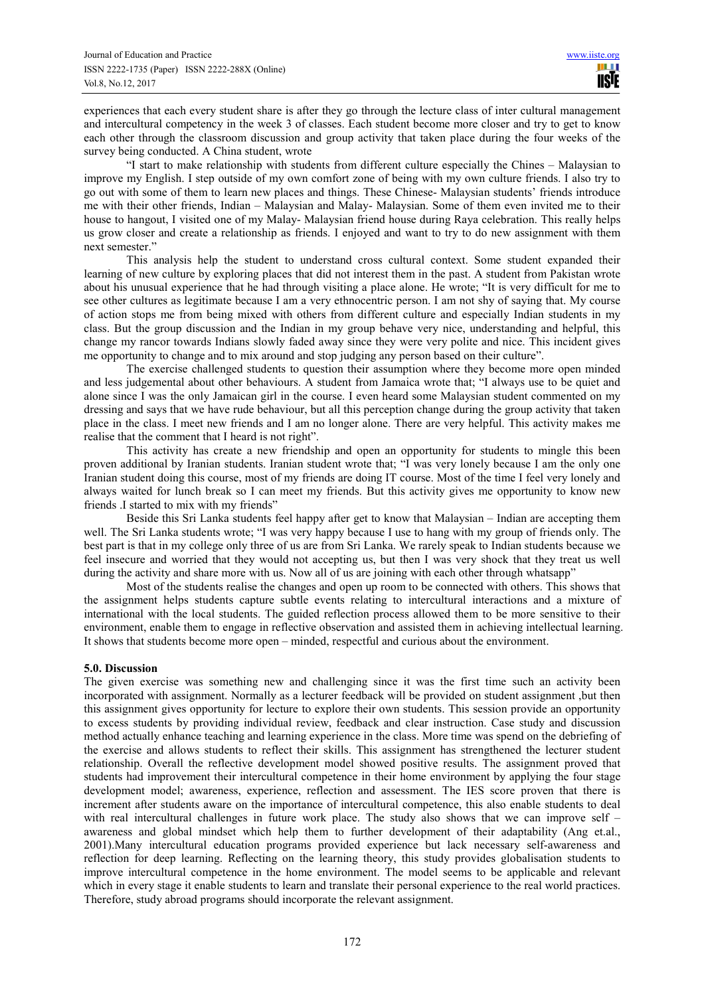experiences that each every student share is after they go through the lecture class of inter cultural management and intercultural competency in the week 3 of classes. Each student become more closer and try to get to know each other through the classroom discussion and group activity that taken place during the four weeks of the survey being conducted. A China student, wrote

"I start to make relationship with students from different culture especially the Chines – Malaysian to improve my English. I step outside of my own comfort zone of being with my own culture friends. I also try to go out with some of them to learn new places and things. These Chinese- Malaysian students' friends introduce me with their other friends, Indian – Malaysian and Malay- Malaysian. Some of them even invited me to their house to hangout, I visited one of my Malay- Malaysian friend house during Raya celebration. This really helps us grow closer and create a relationship as friends. I enjoyed and want to try to do new assignment with them next semester."

This analysis help the student to understand cross cultural context. Some student expanded their learning of new culture by exploring places that did not interest them in the past. A student from Pakistan wrote about his unusual experience that he had through visiting a place alone. He wrote; "It is very difficult for me to see other cultures as legitimate because I am a very ethnocentric person. I am not shy of saying that. My course of action stops me from being mixed with others from different culture and especially Indian students in my class. But the group discussion and the Indian in my group behave very nice, understanding and helpful, this change my rancor towards Indians slowly faded away since they were very polite and nice. This incident gives me opportunity to change and to mix around and stop judging any person based on their culture".

The exercise challenged students to question their assumption where they become more open minded and less judgemental about other behaviours. A student from Jamaica wrote that; "I always use to be quiet and alone since I was the only Jamaican girl in the course. I even heard some Malaysian student commented on my dressing and says that we have rude behaviour, but all this perception change during the group activity that taken place in the class. I meet new friends and I am no longer alone. There are very helpful. This activity makes me realise that the comment that I heard is not right".

This activity has create a new friendship and open an opportunity for students to mingle this been proven additional by Iranian students. Iranian student wrote that; "I was very lonely because I am the only one Iranian student doing this course, most of my friends are doing IT course. Most of the time I feel very lonely and always waited for lunch break so I can meet my friends. But this activity gives me opportunity to know new friends .I started to mix with my friends"

Beside this Sri Lanka students feel happy after get to know that Malaysian – Indian are accepting them well. The Sri Lanka students wrote; "I was very happy because I use to hang with my group of friends only. The best part is that in my college only three of us are from Sri Lanka. We rarely speak to Indian students because we feel insecure and worried that they would not accepting us, but then I was very shock that they treat us well during the activity and share more with us. Now all of us are joining with each other through whatsapp"

Most of the students realise the changes and open up room to be connected with others. This shows that the assignment helps students capture subtle events relating to intercultural interactions and a mixture of international with the local students. The guided reflection process allowed them to be more sensitive to their environment, enable them to engage in reflective observation and assisted them in achieving intellectual learning. It shows that students become more open – minded, respectful and curious about the environment.

# **5.0. Discussion**

The given exercise was something new and challenging since it was the first time such an activity been incorporated with assignment. Normally as a lecturer feedback will be provided on student assignment ,but then this assignment gives opportunity for lecture to explore their own students. This session provide an opportunity to excess students by providing individual review, feedback and clear instruction. Case study and discussion method actually enhance teaching and learning experience in the class. More time was spend on the debriefing of the exercise and allows students to reflect their skills. This assignment has strengthened the lecturer student relationship. Overall the reflective development model showed positive results. The assignment proved that students had improvement their intercultural competence in their home environment by applying the four stage development model; awareness, experience, reflection and assessment. The IES score proven that there is increment after students aware on the importance of intercultural competence, this also enable students to deal with real intercultural challenges in future work place. The study also shows that we can improve self – awareness and global mindset which help them to further development of their adaptability (Ang et.al., 2001).Many intercultural education programs provided experience but lack necessary self-awareness and reflection for deep learning. Reflecting on the learning theory, this study provides globalisation students to improve intercultural competence in the home environment. The model seems to be applicable and relevant which in every stage it enable students to learn and translate their personal experience to the real world practices. Therefore, study abroad programs should incorporate the relevant assignment.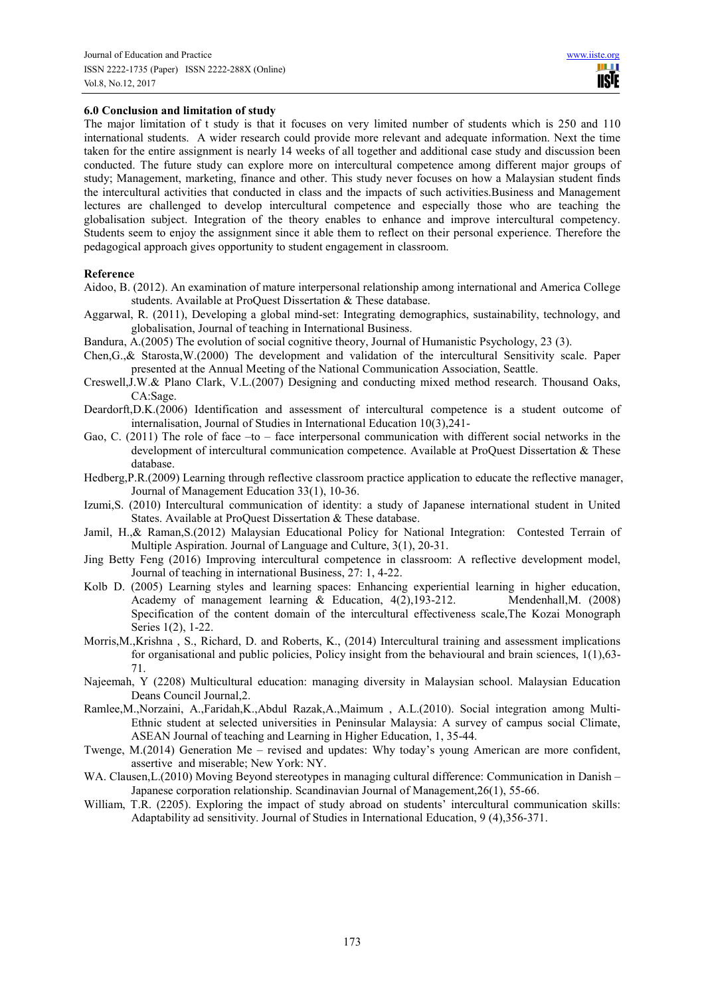# **6.0 Conclusion and limitation of study**

The major limitation of t study is that it focuses on very limited number of students which is 250 and 110 international students. A wider research could provide more relevant and adequate information. Next the time taken for the entire assignment is nearly 14 weeks of all together and additional case study and discussion been conducted. The future study can explore more on intercultural competence among different major groups of study; Management, marketing, finance and other. This study never focuses on how a Malaysian student finds the intercultural activities that conducted in class and the impacts of such activities.Business and Management lectures are challenged to develop intercultural competence and especially those who are teaching the globalisation subject. Integration of the theory enables to enhance and improve intercultural competency. Students seem to enjoy the assignment since it able them to reflect on their personal experience. Therefore the pedagogical approach gives opportunity to student engagement in classroom.

## **Reference**

- Aidoo, B. (2012). An examination of mature interpersonal relationship among international and America College students. Available at ProQuest Dissertation & These database.
- Aggarwal, R. (2011), Developing a global mind-set: Integrating demographics, sustainability, technology, and globalisation, Journal of teaching in International Business.
- Bandura, A.(2005) The evolution of social cognitive theory, Journal of Humanistic Psychology, 23 (3).
- Chen,G.,& Starosta,W.(2000) The development and validation of the intercultural Sensitivity scale. Paper presented at the Annual Meeting of the National Communication Association, Seattle.
- Creswell,J.W.& Plano Clark, V.L.(2007) Designing and conducting mixed method research. Thousand Oaks, CA:Sage.
- Deardorft,D.K.(2006) Identification and assessment of intercultural competence is a student outcome of internalisation, Journal of Studies in International Education 10(3),241-
- Gao, C. (2011) The role of face –to face interpersonal communication with different social networks in the development of intercultural communication competence. Available at ProQuest Dissertation & These database.
- Hedberg,P.R.(2009) Learning through reflective classroom practice application to educate the reflective manager, Journal of Management Education 33(1), 10-36.
- Izumi,S. (2010) Intercultural communication of identity: a study of Japanese international student in United States. Available at ProQuest Dissertation & These database.
- Jamil, H.,& Raman,S.(2012) Malaysian Educational Policy for National Integration: Contested Terrain of Multiple Aspiration. Journal of Language and Culture, 3(1), 20-31.
- Jing Betty Feng (2016) Improving intercultural competence in classroom: A reflective development model, Journal of teaching in international Business, 27: 1, 4-22.
- Kolb D. (2005) Learning styles and learning spaces: Enhancing experiential learning in higher education, Academy of management learning & Education,  $4(2),193-212$ . Mendenhall, M. (2008) Specification of the content domain of the intercultural effectiveness scale,The Kozai Monograph Series 1(2), 1-22.
- Morris,M.,Krishna , S., Richard, D. and Roberts, K., (2014) Intercultural training and assessment implications for organisational and public policies, Policy insight from the behavioural and brain sciences, 1(1),63- 71.
- Najeemah, Y (2208) Multicultural education: managing diversity in Malaysian school. Malaysian Education Deans Council Journal,2.
- Ramlee,M.,Norzaini, A.,Faridah,K.,Abdul Razak,A.,Maimum , A.L.(2010). Social integration among Multi-Ethnic student at selected universities in Peninsular Malaysia: A survey of campus social Climate, ASEAN Journal of teaching and Learning in Higher Education, 1, 35-44.
- Twenge, M.(2014) Generation Me revised and updates: Why today's young American are more confident, assertive and miserable; New York: NY.
- WA. Clausen, L.(2010) Moving Beyond stereotypes in managing cultural difference: Communication in Danish Japanese corporation relationship. Scandinavian Journal of Management,26(1), 55-66.
- William, T.R. (2205). Exploring the impact of study abroad on students' intercultural communication skills: Adaptability ad sensitivity. Journal of Studies in International Education, 9 (4),356-371.